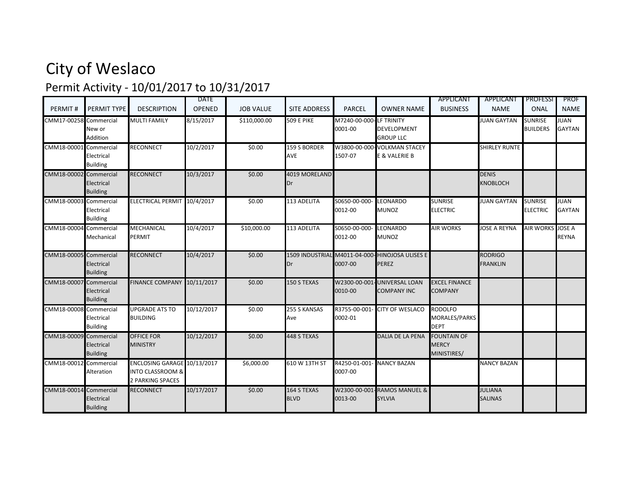## City of Weslaco Permit Activity - 10/01/2017 to 10/31/2017

|                        |                                             |                                                                                | <b>DATE</b>   |                  |                            |                                    |                                                          | APPLICANT                                         | APPLICANT                         | <b>PROFESSI</b>                   | PROF                          |
|------------------------|---------------------------------------------|--------------------------------------------------------------------------------|---------------|------------------|----------------------------|------------------------------------|----------------------------------------------------------|---------------------------------------------------|-----------------------------------|-----------------------------------|-------------------------------|
| PERMIT#                | PERMIT TYPE                                 | <b>DESCRIPTION</b>                                                             | <b>OPENED</b> | <b>JOB VALUE</b> | <b>SITE ADDRESS</b>        | <b>PARCEL</b>                      | <b>OWNER NAME</b>                                        | <b>BUSINESS</b>                                   | <b>NAME</b>                       | ONAL                              | <b>NAME</b>                   |
| CMM17-00258 Commercial | New or<br>Addition                          | <b>MULTI FAMILY</b>                                                            | 8/15/2017     | \$110,000.00     | <b>509 E PIKE</b>          | M7240-00-000-LF TRINITY<br>0001-00 | <b>DEVELOPMENT</b><br><b>GROUP LLC</b>                   |                                                   | <b>JUAN GAYTAN</b>                | <b>SUNRISE</b><br><b>BUILDERS</b> | <b>JUAN</b><br><b>GAYTAN</b>  |
| CMM18-0000             | Commercial<br>Electrical<br><b>Building</b> | <b>RECONNECT</b>                                                               | 10/2/2017     | \$0.00           | 159 S BORDER<br>AVE        | W3800-00-000<br>1507-07            | <b>VOLKMAN STACEY</b><br>E & VALERIE B                   |                                                   | <b>SHIRLEY RUNTE</b>              |                                   |                               |
| CMM18-00002 Commercial | Electrical<br><b>Building</b>               | <b>RECONNECT</b>                                                               | 10/3/2017     | \$0.00           | 4019 MORELAND<br>Dr        |                                    |                                                          |                                                   | <b>DENIS</b><br><b>KNOBLOCH</b>   |                                   |                               |
| CMM18-00003 Commercial | Electrical<br><b>Building</b>               | ELECTRICAL PERMIT 10/4/2017                                                    |               | \$0.00           | 113 ADELITA                | S0650-00-000<br>0012-00            | <b>EONARDO</b><br><b>MUNOZ</b>                           | SUNRISE<br><b>ELECTRIC</b>                        | <b>JUAN GAYTAN</b>                | <b>SUNRISE</b><br><b>ELECTRIC</b> | <b>JUAN</b><br><b>GAYTAN</b>  |
| CMM18-00004 Commercial | Mechanical                                  | <b>MECHANICAL</b><br><b>PERMIT</b>                                             | 10/4/2017     | \$10,000.00      | 113 ADELITA                | S0650-00-000<br>0012-00            | LEONARDO<br><b>MUNOZ</b>                                 | <b>AIR WORKS</b>                                  | <b>JOSE A REYNA</b>               | <b>AIR WORKS</b>                  | <b>JOSE A</b><br><b>REYNA</b> |
| CMM18-00005 Commercial | Electrical<br><b>Building</b>               | <b>RECONNECT</b>                                                               | 10/4/2017     | \$0.00           | Dr                         | 0007-00                            | 1509 INDUSTRIAL M4011-04-000- HINOJOSA ULISES E<br>PEREZ |                                                   | <b>RODRIGO</b><br><b>FRANKLIN</b> |                                   |                               |
| CMM18-00007            | Commercial<br>Electrical<br><b>Building</b> | <b>FINANCE COMPANY</b>                                                         | 10/11/2017    | \$0.00           | 150 S TEXAS                | W2300-00-001<br>0010-00            | <b>UNIVERSAL LOAN</b><br><b>COMPANY INC</b>              | <b>EXCEL FINANCE</b><br>COMPANY                   |                                   |                                   |                               |
| CMM18-00008 Commercial | Electrical<br><b>Building</b>               | <b>UPGRADE ATS TO</b><br><b>BUILDING</b>                                       | 10/12/2017    | \$0.00           | 255 S KANSAS<br>Ave        | R3755-00-001<br>0002-01            | <b>CITY OF WESLACO</b>                                   | <b>RODOLFO</b><br>MORALES/PARKS<br><b>DEPT</b>    |                                   |                                   |                               |
| CMM18-00009 Commercial | Electrical<br><b>Building</b>               | <b>OFFICE FOR</b><br><b>MINISTRY</b>                                           | 10/12/2017    | \$0.00           | 448 S TEXAS                |                                    | <b>DALIA DE LA PENA</b>                                  | <b>FOUNTAIN OF</b><br><b>MERCY</b><br>MINISTIRES/ |                                   |                                   |                               |
| CMM18-00012 Commercial | Alteration                                  | ENCLOSING GARAGE 10/13/2017<br><b>INTO CLASSROOM &amp;</b><br>2 PARKING SPACES |               | \$6,000.00       | 610 W 13TH ST              | R4250-01-001<br>0007-00            | <b>NANCY BAZAN</b>                                       |                                                   | <b>NANCY BAZAN</b>                |                                   |                               |
| CMM18-00014 Commercial | Electrical<br><b>Building</b>               | <b>RECONNECT</b>                                                               | 10/17/2017    | \$0.00           | 164 S TEXAS<br><b>BLVD</b> | W2300-00-001<br>0013-00            | - RAMOS MANUEL &<br><b>SYLVIA</b>                        |                                                   | <b>JULIANA</b><br><b>SALINAS</b>  |                                   |                               |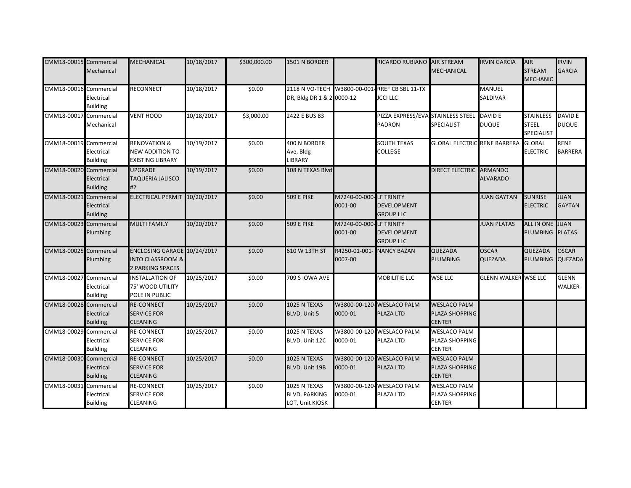| CMM18-00015 Commercial | Mechanical                                  | <b>MECHANICAL</b>                                                                     | 10/18/2017 | \$300,000.00 | 1501 N BORDER                                            |                         | RICARDO RUBIANO AIR STREAM                                   | <b>MECHANICAL</b>                                      | <b>IRVIN GARCIA</b>              | AIR<br><b>STREAM</b><br><b>MECHANIC</b>        | <b>IRVIN</b><br><b>GARCIA</b>  |
|------------------------|---------------------------------------------|---------------------------------------------------------------------------------------|------------|--------------|----------------------------------------------------------|-------------------------|--------------------------------------------------------------|--------------------------------------------------------|----------------------------------|------------------------------------------------|--------------------------------|
| CMM18-00016 Commercial | Electrical<br><b>Building</b>               | <b>RECONNECT</b>                                                                      | 10/18/2017 | \$0.00       | 2118 N VO-TECH W3800-00-001<br>DR, Bldg DR 1 & 2 0000-12 |                         | - RREF CB SBL 11-TX<br><b>JCCI LLC</b>                       |                                                        | <b>MANUEL</b><br><b>SALDIVAR</b> |                                                |                                |
| CMM18-00017 Commercial | Mechanical                                  | <b>VENT HOOD</b>                                                                      | 10/18/2017 | \$3,000.00   | 2422 E BUS 83                                            |                         | PIZZA EXPRESS/EVA STAINLESS STEEL<br><b>PADRON</b>           | <b>SPECIALIST</b>                                      | DAVID E<br><b>DUQUE</b>          | <b>STAINLESS</b><br><b>STEEL</b><br>SPECIALIST | <b>DAVID E</b><br><b>DUQUE</b> |
| CMM18-00019 Commercial | Electrical<br><b>Building</b>               | <b>RENOVATION &amp;</b><br><b>NEW ADDITION TO</b><br><b>EXISTING LIBRARY</b>          | 10/19/2017 | \$0.00       | 400 N BORDER<br>Ave, Bldg<br><b>LIBRARY</b>              |                         | <b>SOUTH TEXAS</b><br><b>COLLEGE</b>                         | <b>GLOBAL ELECTRIC RENE BARRERA</b>                    |                                  | <b>GLOBAL</b><br><b>ELECTRIC</b>               | <b>RENE</b><br><b>BARRERA</b>  |
| CMM18-00020 Commercial | Electrical<br><b>Building</b>               | <b>UPGRADE</b><br><b>TAQUERIA JALISCO</b><br>#2                                       | 10/19/2017 | \$0.00       | 108 N TEXAS Blvd                                         |                         |                                                              | DIRECT ELECTRIC ARMANDO                                | <b>ALVARADO</b>                  |                                                |                                |
| CMM18-00021 Commercial | Electrical<br><b>Building</b>               | ELECTRICAL PERMIT 10/20/2017                                                          |            | \$0.00       | <b>509 E PIKE</b>                                        | M7240-00-000<br>0001-00 | <b>LF TRINITY</b><br><b>DEVELOPMENT</b><br><b>GROUP LLC</b>  |                                                        | <b>JUAN GAYTAN</b>               | <b>SUNRISE</b><br><b>ELECTRIC</b>              | <b>JUAN</b><br><b>GAYTAN</b>   |
| CMM18-00023 Commercial | Plumbing                                    | <b>MULTI FAMILY</b>                                                                   | 10/20/2017 | \$0.00       | <b>509 E PIKE</b>                                        | M7240-00-000<br>0001-00 | <b>ILF TRINITY</b><br><b>DEVELOPMENT</b><br><b>GROUP LLC</b> |                                                        | <b>JUAN PLATAS</b>               | ALL IN ONE JUAN<br>PLUMBING PLATAS             |                                |
| CMM18-00025 Commercial | Plumbing                                    | ENCLOSING GARAGE 10/24/2017<br><b>INTO CLASSROOM &amp;</b><br><b>2 PARKING SPACES</b> |            | \$0.00       | 610 W 13TH ST                                            | R4250-01-001<br>0007-00 | <b>NANCY BAZAN</b>                                           | QUEZADA<br>PLUMBING                                    | <b>OSCAR</b><br><b>QUEZADA</b>   | <b>QUEZADA</b><br>PLUMBING                     | <b>OSCAR</b><br><b>QUEZADA</b> |
| CMM18-00027 Commercial | Electrical<br><b>Building</b>               | <b>INSTALLATION OF</b><br>75' WOOD UTILITY<br>POLE IN PUBLIC                          | 10/25/2017 | \$0.00       | 709 S IOWA AVE                                           |                         | MOBILITIE LLC                                                | <b>WSE LLC</b>                                         | <b>GLENN WALKER WSE LLC</b>      |                                                | <b>GLENN</b><br><b>WALKER</b>  |
| CMM18-00028 Commercial | Electrical<br><b>Building</b>               | <b>RE-CONNECT</b><br><b>SERVICE FOR</b><br><b>CLEANING</b>                            | 10/25/2017 | \$0.00       | 1025 N TEXAS<br>BLVD, Unit 5                             | 0000-01                 | W3800-00-120-WESLACO PALM<br>PLAZA LTD                       | <b>WESLACO PALM</b><br>PLAZA SHOPPING<br><b>CENTER</b> |                                  |                                                |                                |
| CMM18-00029            | Commercial<br>Electrical<br><b>Building</b> | <b>RE-CONNECT</b><br><b>SERVICE FOR</b><br><b>CLEANING</b>                            | 10/25/2017 | \$0.00       | 1025 N TEXAS<br>BLVD, Unit 12C                           | W3800-00-120<br>0000-01 | <b>WESLACO PALM</b><br>PLAZA LTD                             | <b>WESLACO PALM</b><br>PLAZA SHOPPING<br><b>CENTER</b> |                                  |                                                |                                |
| CMM18-00030 Commercial | Electrical<br><b>Building</b>               | <b>RE-CONNECT</b><br><b>SERVICE FOR</b><br><b>CLEANING</b>                            | 10/25/2017 | \$0.00       | 1025 N TEXAS<br>BLVD, Unit 19B                           | 0000-01                 | W3800-00-120-WESLACO PALM<br>PLAZA LTD                       | <b>WESLACO PALM</b><br>PLAZA SHOPPING<br><b>CENTER</b> |                                  |                                                |                                |
| CMM18-00031 Commercial | Electrical<br><b>Building</b>               | <b>RE-CONNECT</b><br><b>SERVICE FOR</b><br><b>CLEANING</b>                            | 10/25/2017 | \$0.00       | 1025 N TEXAS<br><b>BLVD, PARKING</b><br>LOT, Unit KIOSK  | 0000-01                 | W3800-00-120-WESLACO PALM<br>PLAZA LTD                       | <b>WESLACO PALM</b><br>PLAZA SHOPPING<br><b>CENTER</b> |                                  |                                                |                                |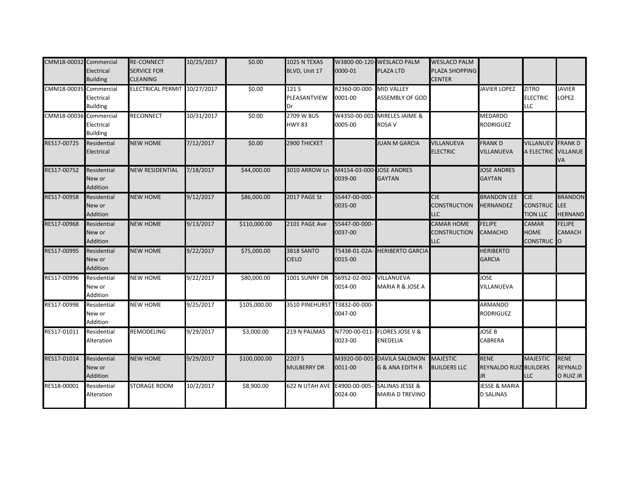| CMM18-00032 Commercial | Electrical<br><b>Building</b>     | <b>RE-CONNECT</b><br><b>SERVICE FOR</b><br><b>CLEANING</b> | 10/25/2017 | \$0.00       | 1025 N TEXAS<br>BLVD, Unit 17      | 0000-01                             | W3800-00-120-WESLACO PALM<br>PLAZA LTD               | <b>WESLACO PALM</b><br>PLAZA SHOPPING<br><b>CENTER</b> |                                                    |                                                      |                                                |
|------------------------|-----------------------------------|------------------------------------------------------------|------------|--------------|------------------------------------|-------------------------------------|------------------------------------------------------|--------------------------------------------------------|----------------------------------------------------|------------------------------------------------------|------------------------------------------------|
| CMM18-00035 Commercial | Electrical<br><b>Building</b>     | ELECTRICAL PERMIT 10/27/2017                               |            | \$0.00       | 121 S<br>PLEASANTVIEW<br>Dr        | R2360-00-000-<br>0001-00            | <b>MID VALLEY</b><br><b>ASSEMBLY OF GOD</b>          |                                                        | <b>JAVIER LOPEZ</b>                                | <b>ZITRO</b><br><b>ELECTRIC</b><br><b>LLC</b>        | <b>JAVIER</b><br>LOPEZ                         |
| CMM18-00036 Commercial | Electrical<br><b>Building</b>     | <b>RECONNECT</b>                                           | 10/31/2017 | \$0.00       | <b>2709 W BUS</b><br><b>HWY 83</b> | W4350-00-001<br>0005-00             | MIRELES JAIME &<br>ROSA V                            |                                                        | <b>MEDARDO</b><br><b>RODRIGUEZ</b>                 |                                                      |                                                |
| RES17-00725            | Residential<br>Electrical         | <b>NEW HOME</b>                                            | 7/12/2017  | \$0.00       | 2900 THICKET                       |                                     | <b>JUAN M GARCIA</b>                                 | VILLANUEVA<br><b>ELECTRIC</b>                          | <b>FRANKD</b><br>VILLANUEVA                        | <b>VILLANUEV FRANK D</b><br>A ELECTRIC VILLANUE      | VA                                             |
| RES17-00752            | Residential<br>New or<br>Addition | <b>NEW RESIDENTIAL</b>                                     | 7/18/2017  | \$44,000.00  | 3010 ARROW Ln                      | M4154-03-000-JOSE ANDRES<br>0039-00 | <b>GAYTAN</b>                                        |                                                        | <b>JOSE ANDRES</b><br><b>GAYTAN</b>                |                                                      |                                                |
| RES17-00958            | Residential<br>New or<br>Addition | <b>NEW HOME</b>                                            | 9/12/2017  | \$86,000.00  | 2017 PAGE St                       | S5447-00-000-<br>0035-00            |                                                      | CJE<br><b>CONSTRUCTION</b><br>LLC                      | <b>BRANDON LEE</b><br><b>HERNANDEZ</b>             | CJE<br><b>CONSTRUC</b><br><b>TION LLC</b>            | <b>BRANDON</b><br><b>LEE</b><br><b>HERNAND</b> |
| RES17-00968            | Residential<br>New or<br>Addition | <b>NEW HOME</b>                                            | 9/13/2017  | \$110,000.00 | 2101 PAGE Ave                      | S5447-00-000-<br>0037-00            |                                                      | <b>CAMAR HOME</b><br>CONSTRUCTION<br>LLC               | <b>FELIPE</b><br><b>CAMACHO</b>                    | <b>CAMAR</b><br><b>HOME</b><br>CONSTRUC <sup>O</sup> | <b>FELIPE</b><br>CAMACH                        |
| RES17-00995            | Residential<br>New or<br>Addition | <b>NEW HOME</b>                                            | 9/22/2017  | \$75,000.00  | <b>3818 SANTO</b><br><b>CIELO</b>  | T5438-01-02A<br>0015-00             | <b>HERIBERTO GARCIA</b>                              |                                                        | <b>HERIBERTO</b><br><b>GARCIA</b>                  |                                                      |                                                |
| RES17-00996            | Residential<br>New or<br>Addition | <b>NEW HOME</b>                                            | 9/22/2017  | \$80,000.00  | 1001 SUNNY DR                      | S6952-02-002-<br>0014-00            | VILLANUEVA<br>MARIA R & JOSE A                       |                                                        | <b>JOSE</b><br>VILLANUEVA                          |                                                      |                                                |
| RES17-00998            | Residential<br>New or<br>Addition | <b>NEW HOME</b>                                            | 9/25/2017  | \$105,000.00 | 3510 PINEHURST                     | T3832-00-000-<br>0047-00            |                                                      |                                                        | <b>ARMANDO</b><br><b>RODRIGUEZ</b>                 |                                                      |                                                |
| RES17-01011            | Residential<br>Alteration         | <b>REMODELING</b>                                          | 9/29/2017  | \$3,000.00   | 219 N PALMAS                       | N7700-00-011<br>0023-00             | <b>FLORES JOSE V &amp;</b><br>ENEDELIA               |                                                        | <b>JOSE B</b><br><b>CABRERA</b>                    |                                                      |                                                |
| RES17-01014            | Residential<br>New or<br>Addition | <b>NEW HOME</b>                                            | 9/29/2017  | \$100,000.00 | 2207 S<br><b>MULBERRY DR</b>       | M3920-00-001<br>0011-00             | <b>DAVILA SALOMON</b><br>G & ANA EDITH R             | <b>MAJESTIC</b><br><b>BUILDERS LLC</b>                 | <b>RENE</b><br><b>REYNALDO RUIZ BUILDERS</b><br>JR | <b>MAJESTIC</b><br><b>LLC</b>                        | <b>RENE</b><br>REYNALD<br>O RUIZ JR            |
| RES18-00001            | Residential<br>Alteration         | <b>STORAGE ROOM</b>                                        | 10/2/2017  | \$8,900.00   | 622 N UTAH AVE E4900-00-005        | 0024-00                             | <b>SALINAS JESSE &amp;</b><br><b>MARIA D TREVINO</b> |                                                        | <b>JESSE &amp; MARIA</b><br><b>D SALINAS</b>       |                                                      |                                                |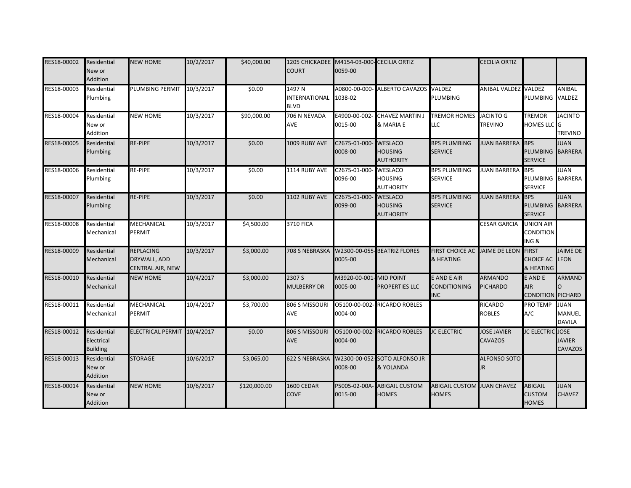| RES18-00002 | Residential<br>New or<br>Addition            | <b>NEW HOME</b>                                             | 10/2/2017 | \$40,000.00  | 1205 CHICKADEE M4154-03-000- CECILIA ORTIZ<br><b>COURT</b> | 0059-00                           |                                                      |                                                   | <b>CECILIA ORTIZ</b>                 |                                                   |                                        |
|-------------|----------------------------------------------|-------------------------------------------------------------|-----------|--------------|------------------------------------------------------------|-----------------------------------|------------------------------------------------------|---------------------------------------------------|--------------------------------------|---------------------------------------------------|----------------------------------------|
| RES18-00003 | Residential<br>Plumbing                      | PLUMBING PERMIT                                             | 10/3/2017 | \$0.00       | 1497 N<br><b>INTERNATIONAL</b><br><b>BLVD</b>              | 1038-02                           | A0800-00-000- ALBERTO CAVAZOS                        | VALDEZ<br>PLUMBING                                | ANIBAL VALDEZ VALDEZ                 | PLUMBING VALDEZ                                   | ANIBAL                                 |
| RES18-00004 | Residential<br>New or<br>Addition            | <b>NEW HOME</b>                                             | 10/3/2017 | \$90,000.00  | 706 N NEVADA<br><b>AVE</b>                                 | E4900-00-002<br>0015-00           | <b>CHAVEZ MARTIN J</b><br>& MARIA E                  | <b>TREMOR HOMES</b><br>LLC                        | <b>JACINTO G</b><br><b>TREVINO</b>   | <b>TREMOR</b><br>HOMES LLC G                      | <b>JACINTO</b><br><b>TREVINO</b>       |
| RES18-00005 | Residential<br>Plumbing                      | <b>RE-PIPE</b>                                              | 10/3/2017 | \$0.00       | 1009 RUBY AVE                                              | C2675-01-000<br>0008-00           | <b>WESLACO</b><br><b>HOUSING</b><br><b>AUTHORITY</b> | <b>BPS PLUMBING</b><br><b>SERVICE</b>             | <b>JUAN BARRERA</b> BPS              | PLUMBING BARRERA<br><b>SERVICE</b>                | <b>JUAN</b>                            |
| RES18-00006 | Residential<br>Plumbing                      | <b>RE-PIPE</b>                                              | 10/3/2017 | \$0.00       | 1114 RUBY AVE                                              | C2675-01-000-<br>0096-00          | <b>WESLACO</b><br><b>HOUSING</b><br><b>AUTHORITY</b> | <b>BPS PLUMBING</b><br><b>SERVICE</b>             | <b>JUAN BARRERA</b> BPS              | PLUMBING<br><b>SERVICE</b>                        | <b>JUAN</b><br><b>BARRERA</b>          |
| RES18-00007 | Residential<br>Plumbing                      | <b>RE-PIPE</b>                                              | 10/3/2017 | \$0.00       | 1102 RUBY AVE                                              | C2675-01-000-<br>0099-00          | <b>WESLACO</b><br><b>HOUSING</b><br><b>AUTHORITY</b> | <b>BPS PLUMBING</b><br><b>SERVICE</b>             | <b>JUAN BARRERA</b>                  | <b>BPS</b><br>PLUMBING BARRERA<br><b>SERVICE</b>  | <b>JUAN</b>                            |
| RES18-00008 | Residential<br>Mechanical                    | <b>MECHANICAL</b><br><b>PERMIT</b>                          | 10/3/2017 | \$4,500.00   | <b>3710 FICA</b>                                           |                                   |                                                      |                                                   | <b>CESAR GARCIA</b>                  | <b>UNION AIR</b><br>CONDITION<br>ING &            |                                        |
| RES18-00009 | Residential<br>Mechanical                    | <b>REPLACING</b><br>DRYWALL, ADD<br><b>CENTRAL AIR, NEW</b> | 10/3/2017 | \$3,000.00   | 708 S NEBRASKA                                             | 0005-00                           | W2300-00-055-BEATRIZ FLORES                          | <b>FIRST CHOICE AC JAIME DE LEON</b><br>& HEATING |                                      | <b>FIRST</b><br><b>CHOICE AC</b><br>& HEATING     | <b>JAIME DE</b><br><b>LEON</b>         |
| RES18-00010 | Residential<br>Mechanical                    | <b>NEW HOME</b>                                             | 10/4/2017 | \$3,000.00   | 2307 S<br><b>MULBERRY DR</b>                               | M3920-00-001-MID POINT<br>0005-00 | <b>PROPERTIES LLC</b>                                | E AND E AIR<br><b>CONDITIONING</b><br><b>INC</b>  | <b>ARMANDO</b><br><b>PICHARDO</b>    | E AND E<br><b>AIR</b><br><b>CONDITION PICHARD</b> | <b>ARMAND</b>                          |
| RES18-00011 | Residential<br>Mechanical                    | <b>MECHANICAL</b><br><b>PERMIT</b>                          | 10/4/2017 | \$3,700.00   | 806 S MISSOURI<br><b>AVE</b>                               | 0004-00                           | O5100-00-002-RICARDO ROBLES                          |                                                   | <b>RICARDO</b><br><b>ROBLES</b>      | <b>PRO TEMP</b><br>A/C                            | <b>JUAN</b><br>MANUEL<br><b>DAVILA</b> |
| RES18-00012 | Residential<br>Electrical<br><b>Building</b> | <b>ELECTRICAL PERMIT</b>                                    | 10/4/2017 | \$0.00       | 806 S MISSOURI<br><b>AVE</b>                               | 05100-00-002<br>0004-00           | <b>RICARDO ROBLES</b>                                | <b>JC ELECTRIC</b>                                | <b>JOSE JAVIER</b><br><b>CAVAZOS</b> | <b>JC ELECTRIC</b> JOSE                           | <b>JAVIER</b><br>CAVAZOS               |
| RES18-00013 | Residential<br>New or<br>Addition            | <b>STORAGE</b>                                              | 10/6/2017 | \$3,065.00   | <b>622 S NEBRASKA</b>                                      | 0008-00                           | W2300-00-052-SOTO ALFONSO JR<br>& YOLANDA            |                                                   | <b>ALFONSO SOTO</b><br><b>JR</b>     |                                                   |                                        |
| RES18-00014 | Residential<br>New or<br>Addition            | <b>NEW HOME</b>                                             | 10/6/2017 | \$120,000.00 | 1600 CEDAR<br>COVE                                         | P5005-02-00A-<br>0015-00          | <b>ABIGAIL CUSTOM</b><br><b>HOMES</b>                | <b>ABIGAIL CUSTOM JUAN CHAVEZ</b><br><b>HOMES</b> |                                      | <b>ABIGAIL</b><br><b>CUSTOM</b><br><b>HOMES</b>   | <b>JUAN</b><br><b>CHAVEZ</b>           |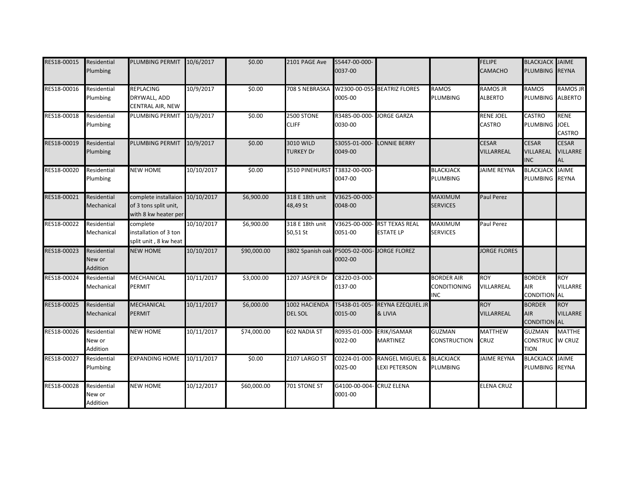| RES18-00015 | Residential<br>Plumbing           | PLUMBING PERMIT                                                                  | 10/6/2017  | \$0.00      | 2101 PAGE Ave                               | S5447-00-000-<br>0037-00 |                                                    |                                                 | <b>FELIPE</b><br>CAMACHO          | <b>BLACKJACK JAIME</b><br>PLUMBING REYNA               |                                |
|-------------|-----------------------------------|----------------------------------------------------------------------------------|------------|-------------|---------------------------------------------|--------------------------|----------------------------------------------------|-------------------------------------------------|-----------------------------------|--------------------------------------------------------|--------------------------------|
| RES18-00016 | Residential<br>Plumbing           | <b>REPLACING</b><br>DRYWALL, ADD<br><b>CENTRAL AIR, NEW</b>                      | 10/9/2017  | \$0.00      | 708 S NEBRASKA W2300-00-055- BEATRIZ FLORES | 0005-00                  |                                                    | <b>RAMOS</b><br><b>PLUMBING</b>                 | <b>RAMOS JR</b><br><b>ALBERTO</b> | <b>RAMOS</b><br>PLUMBING ALBERTO                       | <b>RAMOS JR</b>                |
| RES18-00018 | Residential<br>Plumbing           | <b>PLUMBING PERMIT</b>                                                           | 10/9/2017  | \$0.00      | 2500 STONE<br><b>CLIFF</b>                  | R3485-00-000-<br>0030-00 | <b>JORGE GARZA</b>                                 |                                                 | <b>RENE JOEL</b><br>CASTRO        | <b>CASTRO</b><br>PLUMBING JOEL                         | <b>RENE</b><br>CASTRO          |
| RES18-00019 | Residential<br>Plumbing           | PLUMBING PERMIT                                                                  | 10/9/2017  | \$0.00      | 3010 WILD<br><b>TURKEY Dr</b>               | S3055-01-000<br>0049-00  | LONNIE BERRY                                       |                                                 | <b>CESAR</b><br>VILLARREAL        | <b>CESAR</b><br>VILLAREAL<br><b>INC</b>                | <b>CESAR</b><br>VILLARRE<br>AL |
| RES18-00020 | Residential<br>Plumbing           | <b>NEW HOME</b>                                                                  | 10/10/2017 | \$0.00      | 3510 PINEHURST                              | T3832-00-000-<br>0047-00 |                                                    | <b>BLACKJACK</b><br><b>PLUMBING</b>             | <b>JAIME REYNA</b>                | <b>BLACKJACK JAIME</b><br>PLUMBING REYNA               |                                |
| RES18-00021 | Residential<br>Mechanical         | complete installaion 10/10/2017<br>of 3 tons split unit,<br>with 8 kw heater per |            | \$6,900.00  | 318 E 18th unit<br>48,49 St                 | V3625-00-000<br>0048-00  |                                                    | <b>MAXIMUM</b><br><b>SERVICES</b>               | Paul Perez                        |                                                        |                                |
| RES18-00022 | Residential<br>Mechanical         | complete<br>installation of 3 ton<br>split unit, 8 kw heat                       | 10/10/2017 | \$6,900.00  | 318 E 18th unit<br>50,51 St                 | V3625-00-000<br>0051-00  | <b>RST TEXAS REAL</b><br><b>ESTATE LP</b>          | MAXIMUM<br><b>SERVICES</b>                      | Paul Perez                        |                                                        |                                |
| RES18-00023 | Residential<br>New or<br>Addition | <b>NEW HOME</b>                                                                  | 10/10/2017 | \$90,000.00 | 3802 Spanish oak P5005-02-00G-              | 0002-00                  | <b>JORGE FLOREZ</b>                                |                                                 | <b>JORGE FLORES</b>               |                                                        |                                |
| RES18-00024 | Residential<br>Mechanical         | <b>MECHANICAL</b><br><b>PERMIT</b>                                               | 10/11/2017 | \$3,000.00  | 1207 JASPER Dr                              | C8220-03-000-<br>0137-00 |                                                    | <b>BORDER AIR</b><br>CONDITIONING<br><b>INC</b> | <b>ROY</b><br>VILLARREAL          | <b>BORDER</b><br><b>AIR</b><br><b>CONDITION AL</b>     | <b>ROY</b><br>VILLARRE         |
| RES18-00025 | Residential<br>Mechanical         | <b>MECHANICAL</b><br><b>PERMIT</b>                                               | 10/11/2017 | \$6,000.00  | 1002 HACIENDA<br><b>DEL SOL</b>             | T5438-01-005<br>0015-00  | <b>REYNA EZEQUIEL JR</b><br>& LIVIA                |                                                 | <b>ROY</b><br><b>VILLARREAL</b>   | <b>BORDER</b><br><b>AIR</b><br><b>CONDITION AL</b>     | <b>ROY</b><br><b>VILLARRE</b>  |
| RES18-00026 | Residential<br>New or<br>Addition | <b>NEW HOME</b>                                                                  | 10/11/2017 | \$74,000.00 | 602 NADIA ST                                | R0935-01-000<br>0022-00  | ERIK/ISAMAR<br><b>MARTINEZ</b>                     | <b>GUZMAN</b><br>CONSTRUCTION                   | <b>MATTHEW</b><br>CRUZ            | <b>GUZMAN</b><br><b>CONSTRUC</b> W CRUZ<br><b>TION</b> | <b>MATTHE</b>                  |
| RES18-00027 | Residential<br>Plumbing           | <b>EXPANDING HOME</b>                                                            | 10/11/2017 | \$0.00      | 2107 LARGO ST                               | C0224-01-000<br>0025-00  | <b>RANGEL MIGUEL &amp;</b><br><b>LEXI PETERSON</b> | <b>BLACKJACK</b><br><b>PLUMBING</b>             | JAIME REYNA                       | <b>BLACKJACK JAIME</b><br>PLUMBING REYNA               |                                |
| RES18-00028 | Residential<br>New or<br>Addition | <b>NEW HOME</b>                                                                  | 10/12/2017 | \$60,000.00 | 701 STONE ST                                | G4100-00-004<br>0001-00  | <b>CRUZ ELENA</b>                                  |                                                 | <b>ELENA CRUZ</b>                 |                                                        |                                |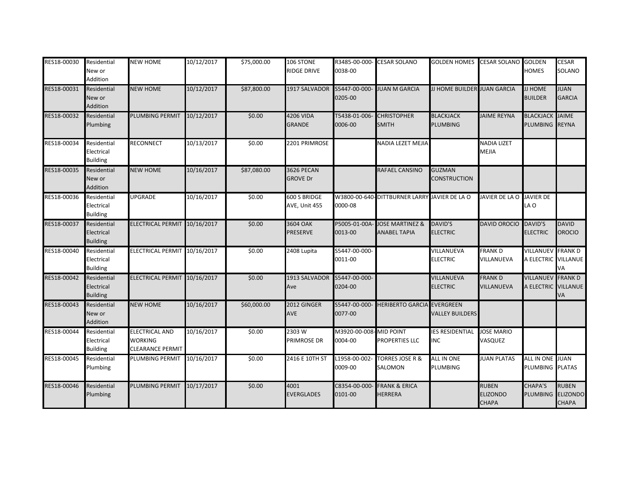| RES18-00030 | Residential<br>New or<br>Addition            | <b>NEW HOME</b>                                                    | 10/12/2017 | \$75,000.00 | 106 STONE<br><b>RIDGE DRIVE</b>      | R3485-00-000-<br>0038-00 | <b>CESAR SOLANO</b>                               | <b>GOLDEN HOMES</b> CESAR SOLANO GOLDEN    |                                                 | <b>HOMES</b>                                    | <b>CESAR</b><br>SOLANO                          |
|-------------|----------------------------------------------|--------------------------------------------------------------------|------------|-------------|--------------------------------------|--------------------------|---------------------------------------------------|--------------------------------------------|-------------------------------------------------|-------------------------------------------------|-------------------------------------------------|
| RES18-00031 | Residential<br>New or<br>Addition            | <b>NEW HOME</b>                                                    | 10/12/2017 | \$87,800.00 | 1917 SALVADOR                        | S5447-00-000<br>0205-00  | <b>JUAN M GARCIA</b>                              | <b>JJ HOME BUILDER JUAN GARCIA</b>         |                                                 | <b>JJ HOME</b><br><b>BUILDER</b>                | <b>JUAN</b><br><b>GARCIA</b>                    |
| RES18-00032 | Residential<br>Plumbing                      | <b>PLUMBING PERMIT</b>                                             | 10/12/2017 | \$0.00      | 4206 VIDA<br><b>GRANDE</b>           | 5438-01-006<br>0006-00   | <b>CHRISTOPHER</b><br><b>SMITH</b>                | <b>BLACKJACK</b><br>PLUMBING               | <b>JAIME REYNA</b>                              | <b>BLACKJACK JAIME</b><br><b>PLUMBING</b>       | <b>REYNA</b>                                    |
| RES18-00034 | Residential<br>Electrical<br><b>Building</b> | <b>RECONNECT</b>                                                   | 10/13/2017 | \$0.00      | 2201 PRIMROSE                        |                          | NADIA LEZET MEJIA                                 |                                            | <b>NADIA LIZET</b><br><b>MEJIA</b>              |                                                 |                                                 |
| RES18-00035 | Residential<br>New or<br>Addition            | <b>NEW HOME</b>                                                    | 10/16/2017 | \$87,080.00 | <b>3626 PECAN</b><br><b>GROVE Dr</b> |                          | RAFAEL CANSINO                                    | <b>GUZMAN</b><br>CONSTRUCTION              |                                                 |                                                 |                                                 |
| RES18-00036 | Residential<br>Electrical<br><b>Building</b> | <b>UPGRADE</b>                                                     | 10/16/2017 | \$0.00      | 600 S BRIDGE<br>AVE, Unit 455        | 0000-08                  | W3800-00-640-DITTBURNER LARRY JAVIER DE LA O      |                                            | JAVIER DE LA O                                  | <b>JAVIER DE</b><br>LA O                        |                                                 |
| RES18-00037 | Residential<br>Electrical<br><b>Building</b> | ELECTRICAL PERMIT 10/16/2017                                       |            | \$0.00      | 3604 OAK<br><b>PRESERVE</b>          | P5005-01-00A<br>0013-00  | <b>JOSE MARTINEZ &amp;</b><br><b>ANABEL TAPIA</b> | <b>DAVID'S</b><br><b>ELECTRIC</b>          | <b>DAVID OROCIO</b>                             | <b>DAVID'S</b><br><b>ELECTRIC</b>               | <b>DAVID</b><br><b>OROCIO</b>                   |
| RES18-00040 | Residential<br>Electrical<br><b>Building</b> | ELECTRICAL PERMIT                                                  | 10/16/2017 | \$0.00      | 2408 Lupita                          | S5447-00-000-<br>0011-00 |                                                   | VILLANUEVA<br><b>ELECTRIC</b>              | <b>FRANKD</b><br>VILLANUEVA                     | VILLANUEV<br>A ELECTRIC VILLANUE                | <b>FRANK D</b><br>VА                            |
| RES18-00042 | Residential<br>Electrical<br><b>Building</b> | ELECTRICAL PERMIT 10/16/2017                                       |            | \$0.00      | 1913 SALVADOR<br>Ave                 | S5447-00-000-<br>0204-00 |                                                   | VILLANUEVA<br><b>ELECTRIC</b>              | <b>FRANKD</b><br><b>VILLANUEVA</b>              | <b>VILLANUEV FRANK D</b><br>A ELECTRIC VILLANUE | VA                                              |
| RES18-00043 | Residential<br>New or<br>Addition            | <b>NEW HOME</b>                                                    | 10/16/2017 | \$60,000.00 | 2012 GINGER<br><b>AVE</b>            | S5447-00-000<br>0077-00  | <b>HERIBERTO GARCIA</b>                           | <b>EVERGREEN</b><br><b>VALLEY BUILDERS</b> |                                                 |                                                 |                                                 |
| RES18-00044 | Residential<br>Electrical<br><b>Building</b> | <b>ELECTRICAL AND</b><br><b>WORKING</b><br><b>CLEARANCE PERMIT</b> | 10/16/2017 | \$0.00      | 2303W<br><b>PRIMROSE DR</b>          | M3920-00-008<br>0004-00  | - MID POINT<br><b>PROPERTIES LLC</b>              | <b>ES RESIDENTIAL</b><br><b>NC</b>         | <b>JOSE MARIO</b><br>VASQUEZ                    |                                                 |                                                 |
| RES18-00045 | Residential<br>Plumbing                      | PLUMBING PERMIT                                                    | 10/16/2017 | \$0.00      | 2416 E 10TH ST                       | L1958-00-002<br>0009-00  | <b>TORRES JOSE R &amp;</b><br>SALOMON             | <b>ALL IN ONE</b><br>PLUMBING              | <b>JUAN PLATAS</b>                              | ALL IN ONE JUAN<br>PLUMBING PLATAS              |                                                 |
| RES18-00046 | Residential<br>Plumbing                      | <b>PLUMBING PERMIT</b>                                             | 10/17/2017 | \$0.00      | 4001<br><b>EVERGLADES</b>            | C8354-00-000<br>0101-00  | <b>FRANK &amp; ERICA</b><br><b>HERRERA</b>        |                                            | <b>RUBEN</b><br><b>ELIZONDO</b><br><b>CHAPA</b> | <b>CHAPA'S</b><br><b>PLUMBING</b>               | <b>RUBEN</b><br><b>ELIZONDO</b><br><b>CHAPA</b> |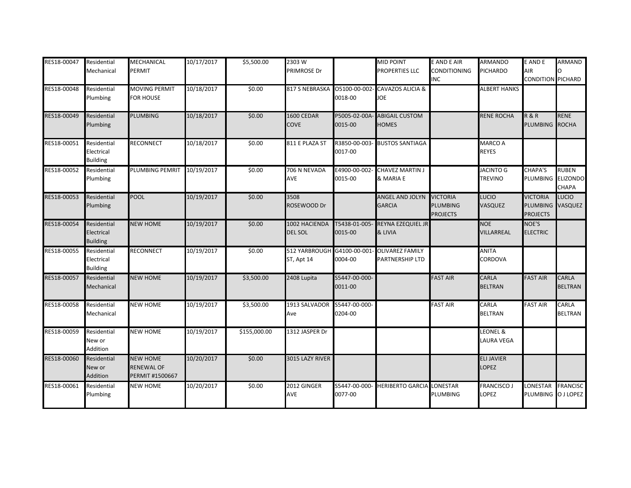| RES18-00047 | Residential<br>Mechanical                    | <b>MECHANICAL</b><br><b>PERMIT</b>                      | 10/17/2017 | \$5,500.00   | 2303W<br>PRIMROSE Dr            |                          | <b>MID POINT</b><br>PROPERTIES LLC        | <b>E AND E AIR</b><br>CONDITIONING<br>INC             | <b>ARMANDO</b><br>PICHARDO         | <b>E AND E</b><br>AIR<br><b>CONDITION PICHARD</b>      | <b>ARMAND</b>                  |
|-------------|----------------------------------------------|---------------------------------------------------------|------------|--------------|---------------------------------|--------------------------|-------------------------------------------|-------------------------------------------------------|------------------------------------|--------------------------------------------------------|--------------------------------|
| RES18-00048 | Residential<br>Plumbing                      | <b>MOVING PERMIT</b><br><b>FOR HOUSE</b>                | 10/18/2017 | \$0.00       | 817 S NEBRASKA 05100-00-002     | 0018-00                  | CAVAZOS ALICIA &<br><b>JOE</b>            |                                                       | <b>ALBERT HANKS</b>                |                                                        |                                |
| RES18-00049 | Residential<br>Plumbing                      | <b>PLUMBING</b>                                         | 10/18/2017 | \$0.00       | 1600 CEDAR<br><b>COVE</b>       | P5005-02-00A<br>0015-00  | <b>ABIGAIL CUSTOM</b><br><b>HOMES</b>     |                                                       | <b>RENE ROCHA</b>                  | <b>R&amp;R</b><br>PLUMBING ROCHA                       | <b>RENE</b>                    |
| RES18-00051 | Residential<br>Electrical<br><b>Building</b> | <b>RECONNECT</b>                                        | 10/18/2017 | \$0.00       | 811 E PLAZA ST                  | R3850-00-003<br>0017-00  | <b>BUSTOS SANTIAGA</b>                    |                                                       | MARCO A<br><b>REYES</b>            |                                                        |                                |
| RES18-00052 | Residential<br>Plumbing                      | PLUMBING PEMRIT                                         | 10/19/2017 | \$0.00       | 706 N NEVADA<br>AVE             | E4900-00-002-<br>0015-00 | <b>CHAVEZ MARTIN J</b><br>& MARIA E       |                                                       | <b>JACINTO G</b><br><b>TREVINO</b> | <b>CHAPA'S</b><br>PLUMBING ELIZONDO                    | <b>RUBEN</b><br><b>CHAPA</b>   |
| RES18-00053 | Residential<br>Plumbing                      | <b>POOL</b>                                             | 10/19/2017 | \$0.00       | 3508<br>ROSEWOOD Dr             |                          | <b>ANGEL AND JOLYN</b><br><b>GARCIA</b>   | <b>VICTORIA</b><br><b>PLUMBING</b><br><b>PROJECTS</b> | <b>LUCIO</b><br>VASQUEZ            | <b>VICTORIA</b><br>PLUMBING VASQUEZ<br><b>PROJECTS</b> | LUCIO                          |
| RES18-00054 | Residential<br>Electrical<br><b>Building</b> | <b>NEW HOME</b>                                         | 10/19/2017 | \$0.00       | 1002 HACIENDA<br><b>DEL SOL</b> | T5438-01-005<br>0015-00  | <b>REYNA EZEQUIEL JR</b><br>& LIVIA       |                                                       | <b>NOE</b><br><b>VILLARREAL</b>    | NOE'S<br><b>ELECTRIC</b>                               |                                |
| RES18-00055 | Residential<br>Electrical<br><b>Building</b> | <b>RECONNECT</b>                                        | 10/19/2017 | \$0.00       | 512 YARBROUGH<br>ST, Apt 14     | G4100-00-001<br>0004-00  | <b>OLIVAREZ FAMILY</b><br>PARTNERSHIP LTD |                                                       | <b>ANITA</b><br>CORDOVA            |                                                        |                                |
| RES18-00057 | Residential<br>Mechanical                    | <b>NEW HOME</b>                                         | 10/19/2017 | \$3,500.00   | 2408 Lupita                     | S5447-00-000-<br>0011-00 |                                           | <b>FAST AIR</b>                                       | <b>CARLA</b><br><b>BELTRAN</b>     | <b>FAST AIR</b>                                        | <b>CARLA</b><br><b>BELTRAN</b> |
| RES18-00058 | Residential<br>Mechanical                    | <b>NEW HOME</b>                                         | 10/19/2017 | \$3,500.00   | 1913 SALVADOR<br>Ave            | S5447-00-000<br>0204-00  |                                           | <b>FAST AIR</b>                                       | CARLA<br><b>BELTRAN</b>            | <b>FAST AIR</b>                                        | CARLA<br><b>BELTRAN</b>        |
| RES18-00059 | Residential<br>New or<br>Addition            | <b>NEW HOME</b>                                         | 10/19/2017 | \$155,000.00 | 1312 JASPER Dr                  |                          |                                           |                                                       | <b>LEONEL &amp;</b><br>LAURA VEGA  |                                                        |                                |
| RES18-00060 | Residential<br>New or<br>Addition            | <b>NEW HOME</b><br><b>RENEWAL OF</b><br>PERMIT #1500667 | 10/20/2017 | \$0.00       | 3015 LAZY RIVER                 |                          |                                           |                                                       | <b>ELI JAVIER</b><br>LOPEZ         |                                                        |                                |
| RES18-00061 | Residential<br>Plumbing                      | <b>NEW HOME</b>                                         | 10/20/2017 | \$0.00       | 2012 GINGER<br>AVE              | S5447-00-000<br>0077-00  | <b>HERIBERTO GARCIA LONESTAR</b>          | <b>PLUMBING</b>                                       | <b>FRANCISCO J</b><br>LOPEZ        | LONESTAR FRANCISC<br>PLUMBING OJ LOPEZ                 |                                |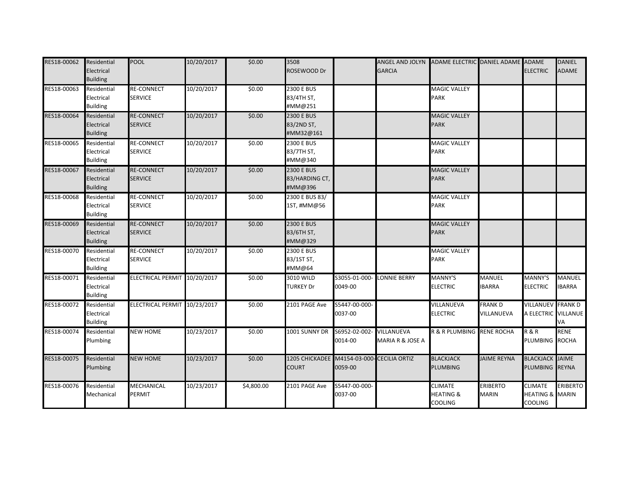| RES18-00062 | Residential<br>Electrical<br><b>Building</b> | <b>POOL</b>                         | 10/20/2017 | \$0.00     | 3508<br>ROSEWOOD Dr                            |                         | ANGEL AND JOLYN<br><b>GARCIA</b> | ADAME ELECTRIC DANIEL ADAME ADAME                 |                                 | <b>ELECTRIC</b>                                                | <b>DANIEL</b><br><b>ADAME</b>  |
|-------------|----------------------------------------------|-------------------------------------|------------|------------|------------------------------------------------|-------------------------|----------------------------------|---------------------------------------------------|---------------------------------|----------------------------------------------------------------|--------------------------------|
| RES18-00063 | Residential<br>Electrical<br><b>Building</b> | <b>RE-CONNECT</b><br><b>SERVICE</b> | 10/20/2017 | \$0.00     | <b>2300 E BUS</b><br>83/4TH ST,<br>#MM@251     |                         |                                  | <b>MAGIC VALLEY</b><br><b>PARK</b>                |                                 |                                                                |                                |
| RES18-00064 | Residential<br>Electrical<br><b>Building</b> | <b>RE-CONNECT</b><br><b>SERVICE</b> | 10/20/2017 | \$0.00     | <b>2300 E BUS</b><br>83/2ND ST,<br>#MM32@161   |                         |                                  | <b>MAGIC VALLEY</b><br><b>PARK</b>                |                                 |                                                                |                                |
| RES18-00065 | Residential<br>Electrical<br><b>Building</b> | <b>RE-CONNECT</b><br><b>SERVICE</b> | 10/20/2017 | \$0.00     | 2300 E BUS<br>83/7TH ST,<br>#MM@340            |                         |                                  | <b>MAGIC VALLEY</b><br>PARK                       |                                 |                                                                |                                |
| RES18-00067 | Residential<br>Electrical<br><b>Building</b> | <b>RE-CONNECT</b><br><b>SERVICE</b> | 10/20/2017 | \$0.00     | <b>2300 E BUS</b><br>83/HARDING CT,<br>#MM@396 |                         |                                  | <b>MAGIC VALLEY</b><br><b>PARK</b>                |                                 |                                                                |                                |
| RES18-00068 | Residential<br>Electrical<br><b>Building</b> | <b>RE-CONNECT</b><br><b>SERVICE</b> | 10/20/2017 | \$0.00     | 2300 E BUS 83/<br>1ST, #MM@56                  |                         |                                  | <b>MAGIC VALLEY</b><br><b>PARK</b>                |                                 |                                                                |                                |
| RES18-00069 | Residential<br>Electrical<br><b>Building</b> | <b>RE-CONNECT</b><br><b>SERVICE</b> | 10/20/2017 | \$0.00     | <b>2300 E BUS</b><br>83/6TH ST,<br>#MM@329     |                         |                                  | <b>MAGIC VALLEY</b><br><b>PARK</b>                |                                 |                                                                |                                |
| RES18-00070 | Residential<br>Electrical<br><b>Building</b> | <b>RE-CONNECT</b><br><b>SERVICE</b> | 10/20/2017 | \$0.00     | 2300 E BUS<br>83/1ST ST,<br>#MM@64             |                         |                                  | <b>MAGIC VALLEY</b><br><b>PARK</b>                |                                 |                                                                |                                |
| RES18-00071 | Residential<br>Electrical<br><b>Building</b> | ELECTRICAL PERMIT 10/20/2017        |            | \$0.00     | 3010 WILD<br><b>TURKEY Dr</b>                  | S3055-01-000<br>0049-00 | <b>LONNIE BERRY</b>              | MANNY'S<br><b>ELECTRIC</b>                        | <b>MANUEL</b><br><b>IBARRA</b>  | <b>MANNY'S</b><br><b>ELECTRIC</b>                              | <b>MANUEL</b><br><b>IBARRA</b> |
| RES18-00072 | Residential<br>Electrical<br><b>Building</b> | ELECTRICAL PERMIT 10/23/2017        |            | \$0.00     | 2101 PAGE Ave                                  | S5447-00-000<br>0037-00 |                                  | VILLANUEVA<br><b>ELECTRIC</b>                     | <b>FRANK D</b><br>VILLANUEVA    | <b>VILLANUEV FRANK D</b><br>A ELECTRIC VILLANUE                | VA                             |
| RES18-00074 | Residential<br>Plumbing                      | <b>NEW HOME</b>                     | 10/23/2017 | \$0.00     | 1001 SUNNY DR                                  | S6952-02-002<br>0014-00 | VILLANUEVA<br>MARIA R & JOSE A   | R & R PLUMBING RENE ROCHA                         |                                 | <b>R&amp;R</b><br>PLUMBING ROCHA                               | <b>RENE</b>                    |
| RES18-00075 | Residential<br>Plumbing                      | <b>NEW HOME</b>                     | 10/23/2017 | \$0.00     | 1205 CHICKADEE M4154-03-000<br><b>COURT</b>    | 0059-00                 | <b>CECILIA ORTIZ</b>             | <b>BLACKJACK</b><br><b>PLUMBING</b>               | <b>JAIME REYNA</b>              | <b>BLACKJACK JAIME</b><br>PLUMBING REYNA                       |                                |
| RES18-00076 | Residential<br>Mechanical                    | <b>MECHANICAL</b><br><b>PERMIT</b>  | 10/23/2017 | \$4,800.00 | 2101 PAGE Ave                                  | S5447-00-000<br>0037-00 |                                  | <b>CLIMATE</b><br><b>HEATING &amp;</b><br>COOLING | <b>ERIBERTO</b><br><b>MARIN</b> | <b>CLIMATE</b><br><b>HEATING &amp; MARIN</b><br><b>COOLING</b> | <b>ERIBERTO</b>                |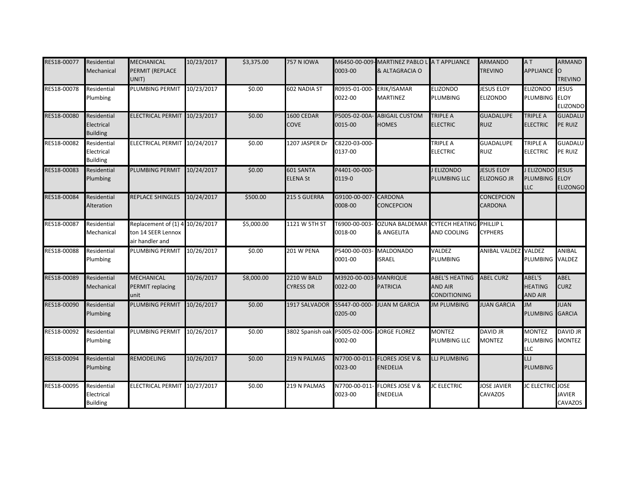| RES18-00077 | Residential<br>Mechanical                    | <b>MECHANICAL</b><br>PERMIT (REPLACE<br>UNIT)                            | 10/23/2017 | \$3,375.00 | <b>757 N IOWA</b>                      | 0003-00                           | M6450-00-009-MARTINEZ PABLO L A T APPLIANCE<br>& ALTAGRACIA O |                                                                | <b>ARMANDO</b><br><b>TREVINO</b>        | AT<br>APPLIANCE O                               | <b>ARMAND</b><br><b>TREVINO</b>                |
|-------------|----------------------------------------------|--------------------------------------------------------------------------|------------|------------|----------------------------------------|-----------------------------------|---------------------------------------------------------------|----------------------------------------------------------------|-----------------------------------------|-------------------------------------------------|------------------------------------------------|
| RES18-00078 | Residential<br>Plumbing                      | <b>PLUMBING PERMIT</b>                                                   | 10/23/2017 | \$0.00     | 602 NADIA ST                           | R0935-01-000<br>0022-00           | ERIK/ISAMAR<br><b>MARTINEZ</b>                                | <b>ELIZONDO</b><br><b>PLUMBING</b>                             | <b>JESUS ELOY</b><br><b>ELIZONDO</b>    | <b>ELIZONDO</b><br><b>PLUMBING</b>              | <b>JESUS</b><br><b>ELOY</b><br><b>ELIZONDO</b> |
| RES18-00080 | Residential<br>Electrical<br><b>Building</b> | ELECTRICAL PERMIT 10/23/2017                                             |            | \$0.00     | 1600 CEDAR<br><b>COVE</b>              | P5005-02-00A<br>0015-00           | <b>ABIGAIL CUSTOM</b><br><b>HOMES</b>                         | TRIPLE A<br><b>ELECTRIC</b>                                    | <b>GUADALUPE</b><br><b>RUIZ</b>         | <b>TRIPLE A</b><br><b>ELECTRIC</b>              | <b>GUADALU</b><br>PE RUIZ                      |
| RES18-00082 | Residential<br>Electrical<br><b>Building</b> | ELECTRICAL PERMIT 10/24/2017                                             |            | \$0.00     | 1207 JASPER Dr                         | C8220-03-000-<br>0137-00          |                                                               | <b>TRIPLE A</b><br><b>ELECTRIC</b>                             | <b>GUADALUPE</b><br><b>RUIZ</b>         | <b>TRIPLE A</b><br><b>ELECTRIC</b>              | <b>GUADALU</b><br>PE RUIZ                      |
| RES18-00083 | Residential<br>Plumbing                      | PLUMBING PERMIT                                                          | 10/24/2017 | \$0.00     | 601 SANTA<br><b>ELENA St</b>           | P4401-00-000-<br>0119-0           |                                                               | J ELIZONDO<br>PLUMBING LLC                                     | <b>JESUS ELOY</b><br><b>ELIZONGO JR</b> | J ELIZONDO JESUS<br>PLUMBING ELOY<br><b>LLC</b> | <b>ELIZONGO</b>                                |
| RES18-00084 | Residential<br>Alteration                    | <b>REPLACE SHINGLES</b>                                                  | 10/24/2017 | \$500.00   | 215 S GUERRA                           | G9100-00-007<br>0008-00           | <b>CARDONA</b><br><b>CONCEPCION</b>                           |                                                                | <b>CONCEPCION</b><br><b>CARDONA</b>     |                                                 |                                                |
| RES18-00087 | Residential<br>Mechanical                    | Replacement of (1) 4 10/26/2017<br>ton 14 SEER Lennox<br>air handler and |            | \$5,000.00 | 1121 W 5TH ST                          | F6900-00-003<br>0018-00           | <b>OZUNA BALDEMAR</b><br>& ANGELITA                           | <b>CYTECH HEATING PHILLIP L</b><br>AND COOLING                 | <b>CYPHERS</b>                          |                                                 |                                                |
| RES18-00088 | Residential<br>Plumbing                      | <b>PLUMBING PERMIT</b>                                                   | 10/26/2017 | \$0.00     | 201 W PENA                             | P5400-00-003<br>0001-00           | <b>MALDONADO</b><br><b>ISRAEL</b>                             | VALDEZ<br><b>PLUMBING</b>                                      | ANIBAL VALDEZ VALDEZ                    | PLUMBING VALDEZ                                 | ANIBAL                                         |
| RES18-00089 | Residential<br>Mechanical                    | <b>MECHANICAL</b><br><b>PERMIT replacing</b><br>unit                     | 10/26/2017 | \$8,000.00 | <b>2210 W BALD</b><br><b>CYRESS DR</b> | M3920-00-003- MANRIQUE<br>0022-00 | <b>PATRICIA</b>                                               | <b>ABEL'S HEATING</b><br><b>AND AIR</b><br><b>CONDITIONING</b> | <b>ABEL CURZ</b>                        | ABEL'S<br><b>HEATING</b><br><b>AND AIR</b>      | <b>ABEL</b><br><b>CURZ</b>                     |
| RES18-00090 | Residential<br>Plumbing                      | <b>PLUMBING PERMIT</b>                                                   | 10/26/2017 | \$0.00     | 1917 SALVADOR                          | S5447-00-000-<br>0205-00          | <b>JUAN M GARCIA</b>                                          | <b>JM PLUMBING</b>                                             | <b>JUAN GARCIA</b>                      | <b>ML</b><br>PLUMBING GARCIA                    | <b>JUAN</b>                                    |
| RES18-00092 | Residential<br>Plumbing                      | <b>PLUMBING PERMIT</b>                                                   | 10/26/2017 | \$0.00     | 3802 Spanish oak P5005-02-00G          | 0002-00                           | JORGE FLOREZ                                                  | <b>MONTEZ</b><br>PLUMBING LLC                                  | <b>DAVID JR</b><br><b>MONTEZ</b>        | <b>MONTEZ</b><br>PLUMBING MONTEZ<br><b>LLC</b>  | <b>DAVID JR</b>                                |
| RES18-00094 | Residential<br>Plumbing                      | <b>REMODELING</b>                                                        | 10/26/2017 | \$0.00     | 219 N PALMAS                           | N7700-00-011<br>0023-00           | <b>FLORES JOSE V &amp;</b><br>ENEDELIA                        | LLJ PLUMBING                                                   |                                         | LLJ<br><b>PLUMBING</b>                          |                                                |
| RES18-00095 | Residential<br>Electrical<br><b>Building</b> | ELECTRICAL PERMIT 10/27/2017                                             |            | \$0.00     | 219 N PALMAS                           | N7700-00-011<br>0023-00           | <b>FLORES JOSE V &amp;</b><br><b>ENEDELIA</b>                 | <b>JC ELECTRIC</b>                                             | <b>JOSE JAVIER</b><br><b>CAVAZOS</b>    | <b>JC ELECTRIC</b> JOSE                         | <b>JAVIER</b><br>CAVAZOS                       |